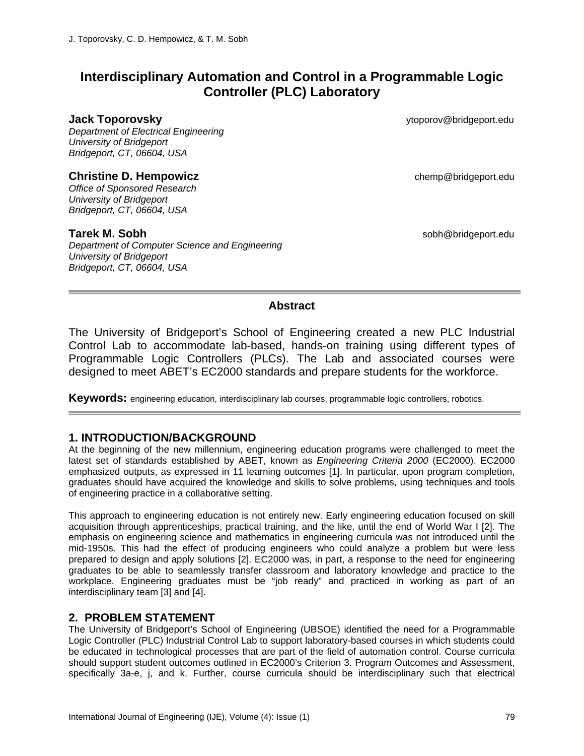# **Interdisciplinary Automation and Control in a Programmable Logic Controller (PLC) Laboratory**

*Department of Electrical Engineering University of Bridgeport Bridgeport, CT, 06604, USA* 

#### **Christine D. Hempowicz change is a chemp of the chemp** of the chemp @bridgeport.edu

*Office of Sponsored Research University of Bridgeport Bridgeport, CT, 06604, USA* 

*Department of Computer Science and Engineering University of Bridgeport Bridgeport, CT, 06604, USA* 

**Jack Toporovsky** ytoporov@bridgeport.edu

**Tarek M. Sobh** sobh@bridgeport.edu

#### **Abstract**

The University of Bridgeport's School of Engineering created a new PLC Industrial Control Lab to accommodate lab-based, hands-on training using different types of Programmable Logic Controllers (PLCs). The Lab and associated courses were designed to meet ABET's EC2000 standards and prepare students for the workforce.

**Keywords:** engineering education, interdisciplinary lab courses, programmable logic controllers, robotics.

## **1. INTRODUCTION/BACKGROUND**

At the beginning of the new millennium, engineering education programs were challenged to meet the latest set of standards established by ABET, known as *Engineering Criteria 2000* (EC2000). EC2000 emphasized outputs, as expressed in 11 learning outcomes [1]. In particular, upon program completion, graduates should have acquired the knowledge and skills to solve problems, using techniques and tools of engineering practice in a collaborative setting.

This approach to engineering education is not entirely new. Early engineering education focused on skill acquisition through apprenticeships, practical training, and the like, until the end of World War I [2]. The emphasis on engineering science and mathematics in engineering curricula was not introduced until the mid-1950s. This had the effect of producing engineers who could analyze a problem but were less prepared to design and apply solutions [2]. EC2000 was, in part, a response to the need for engineering graduates to be able to seamlessly transfer classroom and laboratory knowledge and practice to the workplace. Engineering graduates must be "job ready" and practiced in working as part of an interdisciplinary team [3] and [4].

### **2. PROBLEM STATEMENT**

The University of Bridgeport's School of Engineering (UBSOE) identified the need for a Programmable Logic Controller (PLC) Industrial Control Lab to support laboratory-based courses in which students could be educated in technological processes that are part of the field of automation control. Course curricula should support student outcomes outlined in EC2000's Criterion 3. Program Outcomes and Assessment, specifically 3a-e, j, and k. Further, course curricula should be interdisciplinary such that electrical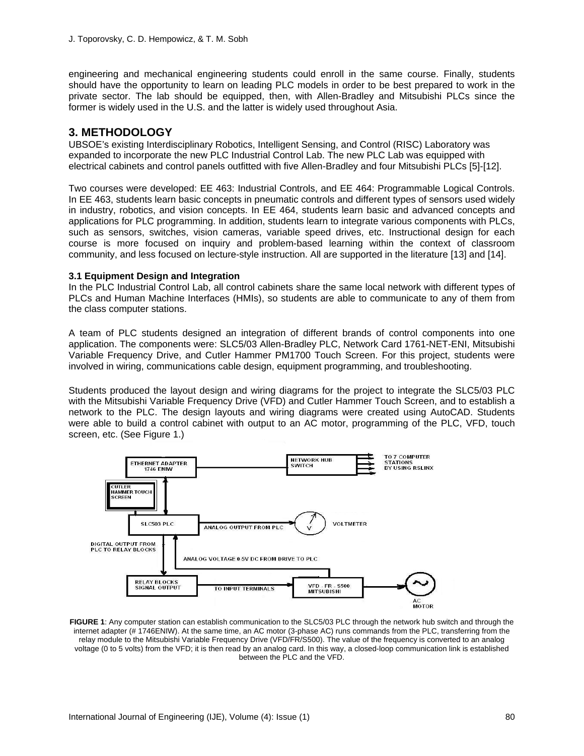engineering and mechanical engineering students could enroll in the same course. Finally, students should have the opportunity to learn on leading PLC models in order to be best prepared to work in the private sector. The lab should be equipped, then, with Allen-Bradley and Mitsubishi PLCs since the former is widely used in the U.S. and the latter is widely used throughout Asia.

### **3. METHODOLOGY**

UBSOE's existing Interdisciplinary Robotics, Intelligent Sensing, and Control (RISC) Laboratory was expanded to incorporate the new PLC Industrial Control Lab. The new PLC Lab was equipped with electrical cabinets and control panels outfitted with five Allen-Bradley and four Mitsubishi PLCs [5]-[12].

Two courses were developed: EE 463: Industrial Controls, and EE 464: Programmable Logical Controls. In EE 463, students learn basic concepts in pneumatic controls and different types of sensors used widely in industry, robotics, and vision concepts. In EE 464, students learn basic and advanced concepts and applications for PLC programming. In addition, students learn to integrate various components with PLCs, such as sensors, switches, vision cameras, variable speed drives, etc. Instructional design for each course is more focused on inquiry and problem-based learning within the context of classroom community, and less focused on lecture-style instruction. All are supported in the literature [13] and [14].

#### **3.1 Equipment Design and Integration**

In the PLC Industrial Control Lab, all control cabinets share the same local network with different types of PLCs and Human Machine Interfaces (HMIs), so students are able to communicate to any of them from the class computer stations.

A team of PLC students designed an integration of different brands of control components into one application. The components were: SLC5/03 Allen-Bradley PLC, Network Card 1761-NET-ENI, Mitsubishi Variable Frequency Drive, and Cutler Hammer PM1700 Touch Screen. For this project, students were involved in wiring, communications cable design, equipment programming, and troubleshooting.

Students produced the layout design and wiring diagrams for the project to integrate the SLC5/03 PLC with the Mitsubishi Variable Frequency Drive (VFD) and Cutler Hammer Touch Screen, and to establish a network to the PLC. The design layouts and wiring diagrams were created using AutoCAD. Students were able to build a control cabinet with output to an AC motor, programming of the PLC, VFD, touch screen, etc. (See Figure 1.)



**FIGURE 1**: Any computer station can establish communication to the SLC5/03 PLC through the network hub switch and through the internet adapter (# 1746ENIW). At the same time, an AC motor (3-phase AC) runs commands from the PLC, transferring from the relay module to the Mitsubishi Variable Frequency Drive (VFD/FR/S500). The value of the frequency is converted to an analog voltage (0 to 5 volts) from the VFD; it is then read by an analog card. In this way, a closed-loop communication link is established between the PLC and the VFD.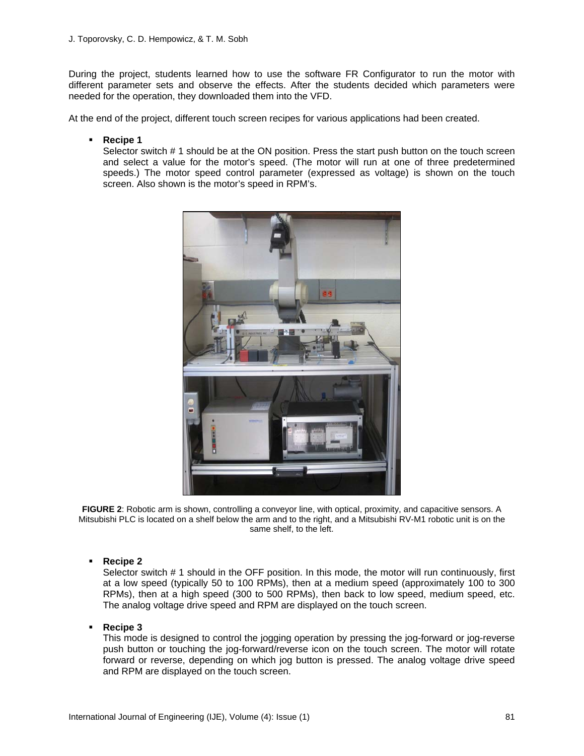During the project, students learned how to use the software FR Configurator to run the motor with different parameter sets and observe the effects. After the students decided which parameters were needed for the operation, they downloaded them into the VFD.

At the end of the project, different touch screen recipes for various applications had been created.

**Recipe 1**

Selector switch # 1 should be at the ON position. Press the start push button on the touch screen and select a value for the motor's speed. (The motor will run at one of three predetermined speeds.) The motor speed control parameter (expressed as voltage) is shown on the touch screen. Also shown is the motor's speed in RPM's.



**FIGURE 2**: Robotic arm is shown, controlling a conveyor line, with optical, proximity, and capacitive sensors. A Mitsubishi PLC is located on a shelf below the arm and to the right, and a Mitsubishi RV-M1 robotic unit is on the same shelf, to the left.

**Recipe 2** 

Selector switch # 1 should in the OFF position. In this mode, the motor will run continuously, first at a low speed (typically 50 to 100 RPMs), then at a medium speed (approximately 100 to 300 RPMs), then at a high speed (300 to 500 RPMs), then back to low speed, medium speed, etc. The analog voltage drive speed and RPM are displayed on the touch screen.

**Recipe 3** 

This mode is designed to control the jogging operation by pressing the jog-forward or jog-reverse push button or touching the jog-forward/reverse icon on the touch screen. The motor will rotate forward or reverse, depending on which jog button is pressed. The analog voltage drive speed and RPM are displayed on the touch screen.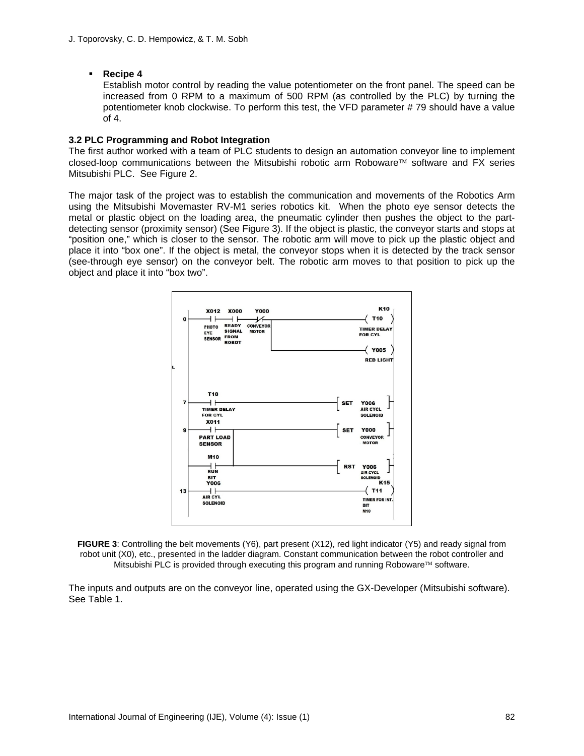#### **Recipe 4**

Establish motor control by reading the value potentiometer on the front panel. The speed can be increased from 0 RPM to a maximum of 500 RPM (as controlled by the PLC) by turning the potentiometer knob clockwise. To perform this test, the VFD parameter # 79 should have a value of 4.

#### **3.2 PLC Programming and Robot Integration**

The first author worked with a team of PLC students to design an automation conveyor line to implement closed-loop communications between the Mitsubishi robotic arm Roboware™ software and FX series Mitsubishi PLC. See Figure 2.

The major task of the project was to establish the communication and movements of the Robotics Arm using the Mitsubishi Movemaster RV-M1 series robotics kit. When the photo eye sensor detects the metal or plastic object on the loading area, the pneumatic cylinder then pushes the object to the partdetecting sensor (proximity sensor) (See Figure 3). If the object is plastic, the conveyor starts and stops at "position one," which is closer to the sensor. The robotic arm will move to pick up the plastic object and place it into "box one". If the object is metal, the conveyor stops when it is detected by the track sensor (see-through eye sensor) on the conveyor belt. The robotic arm moves to that position to pick up the object and place it into "box two".



**FIGURE 3**: Controlling the belt movements (Y6), part present (X12), red light indicator (Y5) and ready signal from robot unit (X0), etc., presented in the ladder diagram. Constant communication between the robot controller and Mitsubishi PLC is provided through executing this program and running Roboware  $TM$  software.

The inputs and outputs are on the conveyor line, operated using the GX-Developer (Mitsubishi software). See Table 1.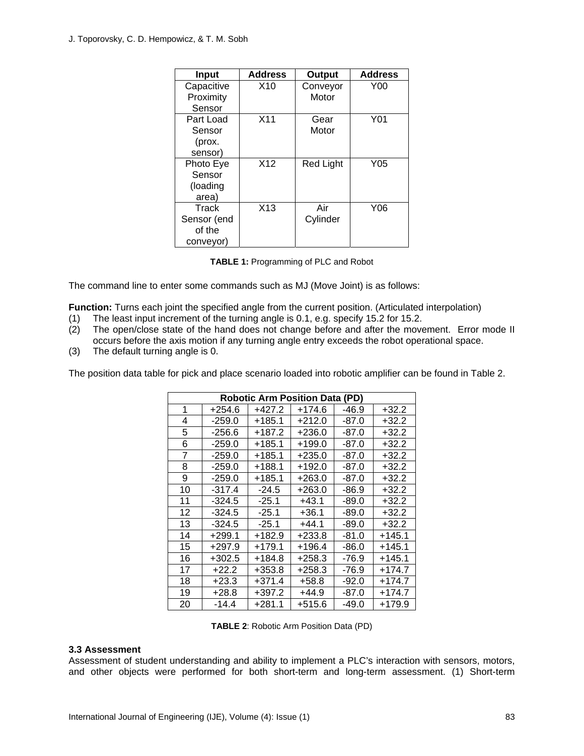| Input       | <b>Address</b>  | Output           | <b>Address</b> |
|-------------|-----------------|------------------|----------------|
| Capacitive  | X10             | Conveyor         | Y00            |
| Proximity   |                 | Motor            |                |
| Sensor      |                 |                  |                |
| Part Load   | X <sub>11</sub> | Gear             | Y01            |
| Sensor      |                 | Motor            |                |
| (prox.      |                 |                  |                |
| sensor)     |                 |                  |                |
| Photo Eye   | X12             | <b>Red Light</b> | Y05            |
| Sensor      |                 |                  |                |
| (loading    |                 |                  |                |
| area)       |                 |                  |                |
| Track       | X <sub>13</sub> | Air              | Y06            |
| Sensor (end |                 | Cylinder         |                |
| of the      |                 |                  |                |
| conveyor)   |                 |                  |                |

**TABLE 1:** Programming of PLC and Robot

The command line to enter some commands such as MJ (Move Joint) is as follows:

**Function:** Turns each joint the specified angle from the current position. (Articulated interpolation)

- (1) The least input increment of the turning angle is 0.1, e.g. specify 15.2 for 15.2.
- (2) The open/close state of the hand does not change before and after the movement. Error mode II occurs before the axis motion if any turning angle entry exceeds the robot operational space.
- (3) The default turning angle is 0.

The position data table for pick and place scenario loaded into robotic amplifier can be found in Table 2.

| <b>Robotic Arm Position Data (PD)</b> |          |          |          |         |          |  |  |
|---------------------------------------|----------|----------|----------|---------|----------|--|--|
| 1                                     | $+254.6$ | $+427.2$ | $+174.6$ | $-46.9$ | $+32.2$  |  |  |
| 4                                     | $-259.0$ | $+185.1$ | $+212.0$ | $-87.0$ | $+32.2$  |  |  |
| 5                                     | $-256.6$ | $+187.2$ | $+236.0$ | $-87.0$ | $+32.2$  |  |  |
| 6                                     | $-259.0$ | $+185.1$ | $+199.0$ | $-87.0$ | $+32.2$  |  |  |
| 7                                     | $-259.0$ | $+185.1$ | $+235.0$ | $-87.0$ | $+32.2$  |  |  |
| 8                                     | $-259.0$ | $+188.1$ | $+192.0$ | $-87.0$ | $+32.2$  |  |  |
| 9                                     | $-259.0$ | $+185.1$ | $+263.0$ | $-87.0$ | $+32.2$  |  |  |
| 10                                    | $-317.4$ | $-24.5$  | $+263.0$ | $-86.9$ | $+32.2$  |  |  |
| 11                                    | $-324.5$ | $-25.1$  | $+43.1$  | $-89.0$ | $+32.2$  |  |  |
| 12                                    | $-324.5$ | $-25.1$  | $+36.1$  | $-89.0$ | $+32.2$  |  |  |
| 13                                    | $-324.5$ | $-25.1$  | $+44.1$  | $-89.0$ | $+32.2$  |  |  |
| 14                                    | $+299.1$ | $+182.9$ | $+233.8$ | $-81.0$ | $+145.1$ |  |  |
| 15                                    | $+297.9$ | $+179.1$ | $+196.4$ | $-86.0$ | $+145.1$ |  |  |
| 16                                    | $+302.5$ | $+184.8$ | $+258.3$ | -76.9   | $+145.1$ |  |  |
| 17                                    | $+22.2$  | $+353.8$ | $+258.3$ | -76.9   | $+174.7$ |  |  |
| 18                                    | $+23.3$  | $+371.4$ | $+58.8$  | $-92.0$ | $+174.7$ |  |  |
| 19                                    | $+28.8$  | $+397.2$ | $+44.9$  | $-87.0$ | $+174.7$ |  |  |
| 20                                    | $-14.4$  | $+281.1$ | $+515.6$ | $-49.0$ | $+179.9$ |  |  |

**TABLE 2**: Robotic Arm Position Data (PD)

#### **3.3 Assessment**

Assessment of student understanding and ability to implement a PLC's interaction with sensors, motors, and other objects were performed for both short-term and long-term assessment. (1) Short-term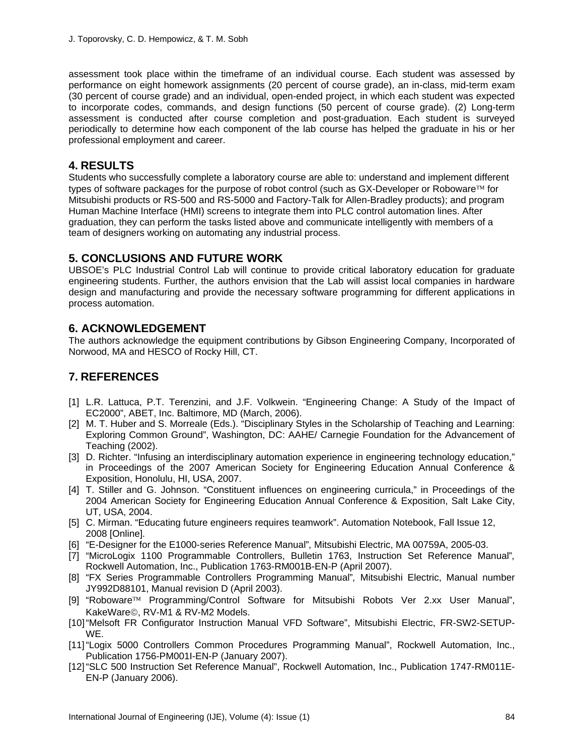assessment took place within the timeframe of an individual course. Each student was assessed by performance on eight homework assignments (20 percent of course grade), an in-class, mid-term exam (30 percent of course grade) and an individual, open-ended project, in which each student was expected to incorporate codes, commands, and design functions (50 percent of course grade). (2) Long-term assessment is conducted after course completion and post-graduation. Each student is surveyed periodically to determine how each component of the lab course has helped the graduate in his or her professional employment and career.

## **4. RESULTS**

Students who successfully complete a laboratory course are able to: understand and implement different types of software packages for the purpose of robot control (such as GX-Developer or Roboware $TM$  for Mitsubishi products or RS-500 and RS-5000 and Factory-Talk for Allen-Bradley products); and program Human Machine Interface (HMI) screens to integrate them into PLC control automation lines. After graduation, they can perform the tasks listed above and communicate intelligently with members of a team of designers working on automating any industrial process.

## **5. CONCLUSIONS AND FUTURE WORK**

UBSOE's PLC Industrial Control Lab will continue to provide critical laboratory education for graduate engineering students. Further, the authors envision that the Lab will assist local companies in hardware design and manufacturing and provide the necessary software programming for different applications in process automation.

## **6. ACKNOWLEDGEMENT**

The authors acknowledge the equipment contributions by Gibson Engineering Company, Incorporated of Norwood, MA and HESCO of Rocky Hill, CT.

# **7. REFERENCES**

- [1] L.R. Lattuca, P.T. Terenzini, and J.F. Volkwein. "Engineering Change: A Study of the Impact of EC2000", ABET, Inc. Baltimore, MD (March, 2006).
- [2] M. T. Huber and S. Morreale (Eds.). "Disciplinary Styles in the Scholarship of Teaching and Learning: Exploring Common Ground", Washington, DC: AAHE/ Carnegie Foundation for the Advancement of Teaching (2002).
- [3] D. Richter. "Infusing an interdisciplinary automation experience in engineering technology education," in Proceedings of the 2007 American Society for Engineering Education Annual Conference & Exposition, Honolulu, HI, USA, 2007.
- [4] T. Stiller and G. Johnson. "Constituent influences on engineering curricula," in Proceedings of the 2004 American Society for Engineering Education Annual Conference & Exposition, Salt Lake City, UT, USA, 2004.
- [5] C. Mirman. "Educating future engineers requires teamwork". Automation Notebook, Fall Issue 12, 2008 [Online].
- [6] "E-Designer for the E1000-series Reference Manual"*,* Mitsubishi Electric, MA 00759A, 2005-03.
- [7] "MicroLogix 1100 Programmable Controllers, Bulletin 1763, Instruction Set Reference Manual"*,*  Rockwell Automation, Inc., Publication 1763-RM001B-EN-P (April 2007).
- [8] "FX Series Programmable Controllers Programming Manual"*,* Mitsubishi Electric, Manual number JY992D88101, Manual revision D (April 2003).
- [9] "Roboware™ Programming/Control Software for Mitsubishi Robots Ver 2.xx User Manual", KakeWare©, RV-M1 & RV-M2 Models.
- [10] "Melsoft FR Configurator Instruction Manual VFD Software", Mitsubishi Electric, FR-SW2-SETUP-WE.
- [11] "Logix 5000 Controllers Common Procedures Programming Manual", Rockwell Automation, Inc., Publication 1756-PM001I-EN-P (January 2007).
- [12] "SLC 500 Instruction Set Reference Manual", Rockwell Automation, Inc., Publication 1747-RM011E-EN-P (January 2006).